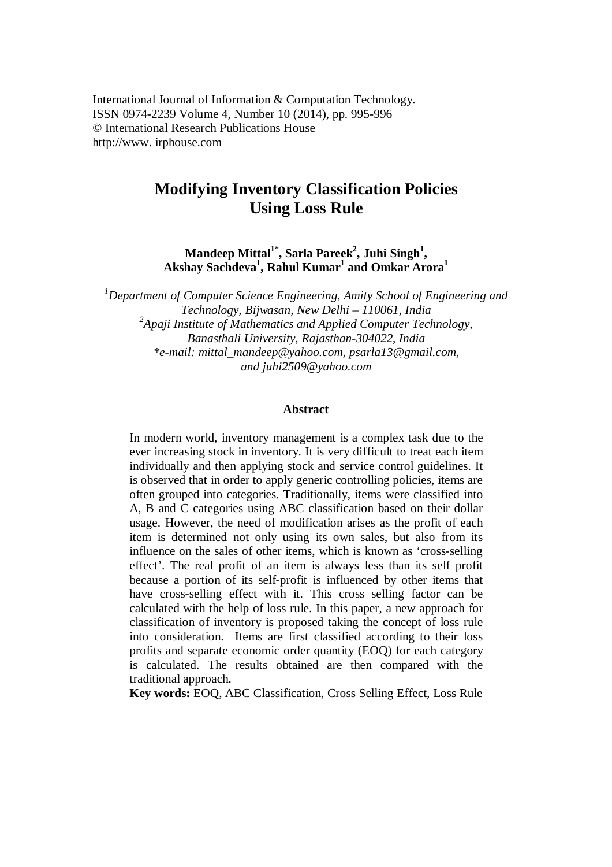## **Modifying Inventory Classification Policies Using Loss Rule**

**Mandeep Mittal1\*, Sarla Pareek<sup>2</sup> , Juhi Singh<sup>1</sup> , Akshay Sachdeva<sup>1</sup> , Rahul Kumar<sup>1</sup> and Omkar Arora<sup>1</sup>**

*<sup>1</sup>Department of Computer Science Engineering, Amity School of Engineering and Technology, Bijwasan, New Delhi – 110061, India 2 Apaji Institute of Mathematics and Applied Computer Technology, Banasthali University, Rajasthan-304022, India \*e-mail: mittal\_mandeep@yahoo.com, psarla13@gmail.com, and juhi2509@yahoo.com*

## **Abstract**

In modern world, inventory management is a complex task due to the ever increasing stock in inventory. It is very difficult to treat each item individually and then applying stock and service control guidelines. It is observed that in order to apply generic controlling policies, items are often grouped into categories. Traditionally, items were classified into A, B and C categories using ABC classification based on their dollar usage. However, the need of modification arises as the profit of each item is determined not only using its own sales, but also from its influence on the sales of other items, which is known as 'cross-selling effect'. The real profit of an item is always less than its self profit because a portion of its self-profit is influenced by other items that have cross-selling effect with it. This cross selling factor can be calculated with the help of loss rule. In this paper, a new approach for classification of inventory is proposed taking the concept of loss rule into consideration. Items are first classified according to their loss profits and separate economic order quantity (EOQ) for each category is calculated. The results obtained are then compared with the traditional approach.

**Key words:** EOQ, ABC Classification, Cross Selling Effect, Loss Rule